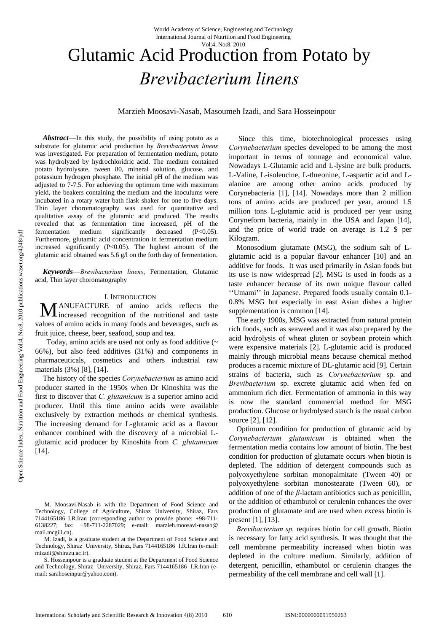#### Vol:4, No:8, 2010

# Glutamic Acid Production from Potato by *Brevibacterium linens*

Marzieh Moosavi**-**Nasab, Masoumeh Izadi, and Sara Hosseinpour

*Abstract*—In this study, the possibility of using potato as a substrate for glutamic acid production by *Brevibacterium linens*  was investigated. For preparation of fermentation medium, potato was hydrolyzed by hydrochloridric acid. The medium contained potato hydrolysate, tween 80, mineral solution, glucose, and potassium hydrogen phosphate. The initial pH of the medium was adjusted to 7-7.5. For achieving the optimum time with maximum yield, the beakers containing the medium and the inoculums were incubated in a rotary water bath flask shaker for one to five days. Thin layer choromatography was used for quantitative and qualitative assay of the glutamic acid produced. The results revealed that as fermentation time increased, pH of the fermentation medium significantly decreased (P<0.05). Furthermore, glutamic acid concentration in fermentation medium increased significantly  $(P<0.05)$ . The highest amount of the glutamic acid obtained was 5.6 g/l on the forth day of fermentation.

*Keywords*—*Brevibacterium linens*, Fermentation, Glutamic acid, Thin layer choromatography

#### I. INTRODUCTION

ANUFACTURE of amino acids reflects the **M** ANUFACTURE of amino acids reflects the increased recognition of the nutritional and taste values of amino acids in many foods and beverages, such as fruit juice, cheese, beer, seafood, soup and tea.

 Today, amino acids are used not only as food additive (~ 66%), but also feed additives (31%) and components in pharmaceuticals, cosmetics and others industrial raw materials (3%) [8], [14].

The history of the species *Corynebacterium* as amino acid producer started in the 1950s when Dr Kinoshita was the first to discover that *C. glutamicum* is a superior amino acid producer. Until this time amino acids were available exclusively by extraction methods or chemical synthesis. The increasing demand for L-glutamic acid as a flavour enhancer combined with the discovery of a microbial Lglutamic acid producer by Kinoshita from *C. glutamicum* [14].

 Since this time, biotechnological processes using *Corynebacterium* species developed to be among the most important in terms of tonnage and economical value. Nowadays L-Glutamic acid and L-lysine are bulk products. L-Valine, L-isoleucine, L-threonine, L-aspartic acid and Lalanine are among other amino acids produced by Corynebacteria [1], [14]. Nowadays more than 2 million tons of amino acids are produced per year, around 1.5 million tons L-glutamic acid is produced per year using Coryneform bacteria, mainly in the USA and Japan [14], and the price of world trade on average is 1.2 \$ per Kilogram.

Monosodium glutamate (MSG), the sodium salt of Lglutamic acid is a popular flavour enhancer [10] and an additive for foods. It was used primarily in Asian foods but its use is now widespread [2]. MSG is used in foods as a taste enhancer because of its own unique flavour called ''Umami'' in Japanese. Prepared foods usually contain 0.1- 0.8% MSG but especially in east Asian dishes a higher supplementation is common [14].

The early 1900s, MSG was extracted from natural protein rich foods, such as seaweed and it was also prepared by the acid hydrolysis of wheat gluten or soybean protein which were expensive materials [2]. L-glutamic acid is produced mainly through microbial means because chemical method produces a racemic mixture of DL-glutamic acid [9]. Certain strains of bacteria, such as *Corynebacterium* sp. and *Brevibacterium* sp. excrete glutamic acid when fed on ammonium rich diet. Fermentation of ammonia in this way is now the standard commercial method for MSG production. Glucose or hydrolysed starch is the usual carbon source [2], [12].

Optimum condition for production of glutamic acid by *Corynebacterium glutamicum* is obtained when the fermentation media contains low amount of biotin. The best condition for production of glutamate occurs when biotin is depleted. The addition of detergent compounds such as polyoxyethylene sorbitan monopalmitate (Tween 40) or polyoxyethylene sorbitan monostearate (Tween 60), or addition of one of the *β*-lactam antibiotics such as penicillin, or the addition of ethambutol or cerulenin enhances the over production of glutamate and are used when excess biotin is present [1], [13].

*Brevibacterium sp.* requires biotin for cell growth. Biotin is necessary for fatty acid synthesis. It was thought that the cell membrane permeability increased when biotin was depleted in the culture medium. Similarly, addition of detergent, penicillin, ethambutol or cerulenin changes the permeability of the cell membrane and cell wall [1].

M. Moosavi-Nasab is with the Department of Food Science and Technology, College of Agriculture, Shiraz University, Shiraz, Fars 7144165186 I.R.Iran (corresponding author to provide phone: +98-711- 6138227; fax: +98-711-2287029; e-mail: marzieh.moosavi-nasab@ mail.mcgill.ca).

M. Izadi, is a graduate student at the Department of Food Science and Technology, Shiraz University, Shiraz, Fars 7144165186 I.R.Iran (e-mail: mizadi@shirazu.ac.ir).

S. Hosseinpour is a graduate student at the Department of Food Science and Technology, Shiraz University, Shiraz, Fars 7144165186 I.R.Iran (email: sarahoseinpur@yahoo.com).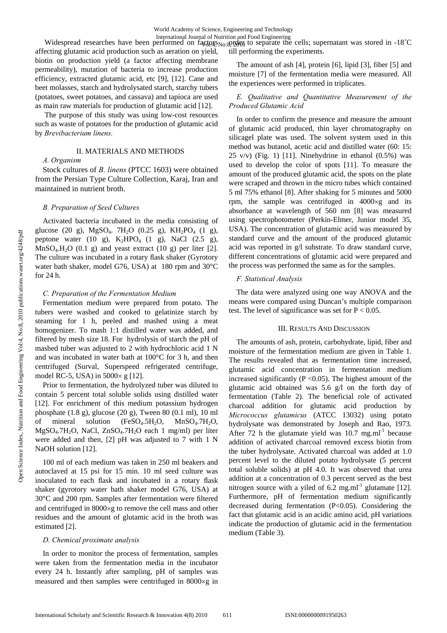affecting glutamic acid production such as aeration on yield, biotin on production yield (a factor affecting membrane permeability), mutation of bacteria to increase production efficiency, extracted glutamic acid, etc [9], [12]. Cane and beet molasses, starch and hydrolysated starch, starchy tubers (potatoes, sweet potatoes, and cassava) and tapioca are used as main raw materials for production of glutamic acid [12].

 The purpose of this study was using low-cost resources such as waste of potatoes for the production of glutamic acid by *Brevibacterium linens.*

## II. MATERIALS AND METHODS

# *A. Organism*

Stock cultures of *B. linens* (PTCC 1603) were obtained from the Persian Type Culture Collection, Karaj, Iran and maintained in nutrient broth.

# *B. Preparation of Seed Cultures*

Activated bacteria incubated in the media consisting of glucose (20 g), MgSO<sub>4</sub>. 7H<sub>2</sub>O (0.25 g), KH<sub>2</sub>PO<sub>4</sub> (1 g), peptone water (10 g),  $K_2HPO_4$  (1 g), NaCl (2.5 g),  $MnSO<sub>4</sub>$ .H<sub>2</sub>O (0.1 g) and yeast extract (10 g) per liter [2]. The culture was incubated in a rotary flask shaker (Gyrotory water bath shaker, model G76, USA) at 180 rpm and 30°C for 24 h.

## *C. Preparation of the Fermentation Medium*

Fermentation medium were prepared from potato. The tubers were washed and cooked to gelatinize starch by steaming for 1 h, peeled and mashed using a meat homogenizer. To mash 1:1 distilled water was added, and filtered by mesh size 18. For hydrolysis of starch the pH of mashed tuber was adjusted to 2 with hydrochloric acid 1 N and was incubated in water bath at 100°C for 3 h, and then centrifuged (Surval, Superspeed refrigerated centrifuge, model RC-5, USA) in 5000× g [12].

Prior to fermentation, the hydrolyzed tuber was diluted to contain 5 percent total soluble solids using distilled water [12]. For enrichment of this medium potassium hydrogen phosphate (1.8 g), glucose (20 g), Tween 80 (0.1 ml), 10 ml of mineral solution  $(FeSO_4.5H_2O, MnSO_4.7H_2O,$ MgSO4.7H2O, NaCl, ZnSO4.7H2O each 1 mg/ml) per liter were added and then, [2] pH was adjusted to 7 with 1 N NaOH solution [12].

100 ml of each medium was taken in 250 ml beakers and autoclaved at 15 psi for 15 min. 10 ml seed culture was inoculated to each flask and incubated in a rotary flask shaker (gyrotory water bath shaker model G76, USA) at 30°C and 200 rpm. Samples after fermentation were filtered and centrifuged in 8000×g to remove the cell mass and other residues and the amount of glutamic acid in the broth was estimated [2].

### *D. Chemical proximate analysis*

In order to monitor the process of fermentation, samples were taken from the fermentation media in the incubator every 24 h. Instantly after sampling, pH of samples was measured and then samples were centrifuged in 8000×g in

International Journal of Nutrition and Food Engineering<br>Widespread researches have been performed on factors organisty to separate the cells; supernatant was stored in -18°C till performing the experiments. 4¢YQ45No:8, 2010

> The amount of ash [4], protein [6], lipid [3], fiber [5] and moisture [7] of the fermentation media were measured. All the experiences were performed in triplicates.

# *E. Qualitative and Quantitative Measurement of the Produced Glutamic Acid*

In order to confirm the presence and measure the amount of glutamic acid produced, thin layer chromatography on silicagel plate was used. The solvent system used in this method was butanol, acetic acid and distilled water (60: 15:  $25 \text{ v/v}$  (Fig. 1) [11]. Ninehydrine in ethanol  $(0.5\%)$  was used to develop the color of spots [11]. To measure the amount of the produced glutamic acid, the spots on the plate were scraped and thrown in the micro tubes which contained 5 ml 75% ethanol [8]. After shaking for 5 minutes and 5000 rpm, the sample was centrifuged in  $4000 \times g$  and its absorbance at wavelength of 560 nm [8] was measured using spectrophotometer (Perkin-Elmer, Junior model 35, USA). The concentration of glutamic acid was measured by standard curve and the amount of the produced glutamic acid was reported in g/l substrate. To draw standard curve, different concentrations of glutamic acid were prepared and the process was performed the same as for the samples.

## *F. Statistical Analysis*

The data were analyzed using one way ANOVA and the means were compared using Duncan's multiple comparison test. The level of significance was set for  $P < 0.05$ .

### III. RESULTS AND DISCUSSION

The amounts of ash, protein, carbohydrate, lipid, fiber and moisture of the fermentation medium are given in Table 1. The results revealed that as fermentation time increased, glutamic acid concentration in fermentation medium increased significantly ( $P \le 0.05$ ). The highest amount of the glutamic acid obtained was 5.6 g/l on the forth day of fermentation (Table 2). The beneficial role of activated charcoal addition for glutamic acid production by *Micrococcus glutamicus* (ATCC 13032) using potato hydrolysate was demonstrated by Joseph and Rao, 1973. After 72 h the glutamate yield was  $10.7 \text{ mg.m}$ <sup>1</sup> because addition of activated charcoal removed excess biotin from the tuber hydrolysate. Activated charcoal was added at 1.0 percent level to the diluted potato hydrolysate (5 percent total soluble solids) at pH 4.0. It was observed that urea addition at a concentration of 0.3 percent served as the best nitrogen source with a yiled of  $6.2 \text{ mg.m}^{-1}$  glutamate [12]. Furthermore, pH of fermentation medium significantly decreased during fermentation (P<0.05). Considering the fact that glutamic acid is an acidic amino acid, pH variations indicate the production of glutamic acid in the fermentation medium (Table 3).